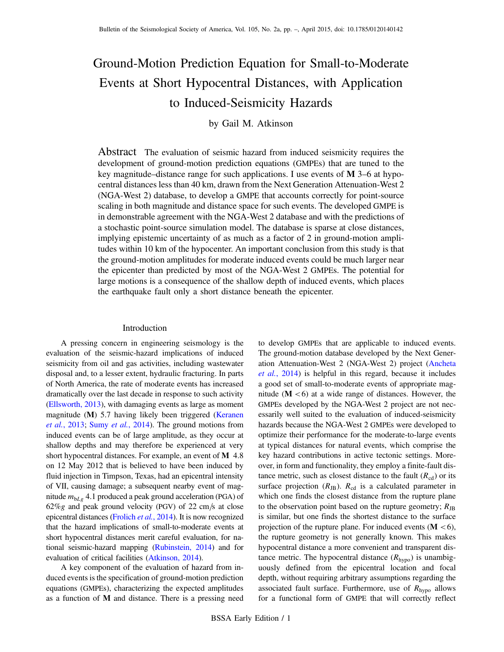# Ground-Motion Prediction Equation for Small-to-Moderate Events at Short Hypocentral Distances, with Application to Induced-Seismicity Hazards

## by Gail M. Atkinson

Abstract The evaluation of seismic hazard from induced seismicity requires the development of ground-motion prediction equations (GMPEs) that are tuned to the key magnitude–distance range for such applications. I use events of  $M$  3–6 at hypocentral distances less than 40 km, drawn from the Next Generation Attenuation-West 2 (NGA-West 2) database, to develop a GMPE that accounts correctly for point-source scaling in both magnitude and distance space for such events. The developed GMPE is in demonstrable agreement with the NGA-West 2 database and with the predictions of a stochastic point-source simulation model. The database is sparse at close distances, implying epistemic uncertainty of as much as a factor of 2 in ground-motion amplitudes within 10 km of the hypocenter. An important conclusion from this study is that the ground-motion amplitudes for moderate induced events could be much larger near the epicenter than predicted by most of the NGA-West 2 GMPEs. The potential for large motions is a consequence of the shallow depth of induced events, which places the earthquake fault only a short distance beneath the epicenter.

## Introduction

A pressing concern in engineering seismology is the evaluation of the seismic-hazard implications of induced seismicity from oil and gas activities, including wastewater disposal and, to a lesser extent, hydraulic fracturing. In parts of North America, the rate of moderate events has increased dramatically over the last decade in response to such activity [\(Ellsworth, 2013\)](#page-11-0), with damaging events as large as moment magnitude (M) 5.7 having likely been triggered ([Keranen](#page-11-1) et al.[, 2013;](#page-11-1) Sumy et al.[, 2014\)](#page-11-2). The ground motions from induced events can be of large amplitude, as they occur at shallow depths and may therefore be experienced at very short hypocentral distances. For example, an event of M 4.8 on 12 May 2012 that is believed to have been induced by fluid injection in Timpson, Texas, had an epicentral intensity of VII, causing damage; a subsequent nearby event of magnitude  $m_{bLg}$  4.1 produced a peak ground acceleration (PGA) of  $62\%g$  and peak ground velocity (PGV) of 22 cm/s at close epicentral distances ([Frolich](#page-11-3) et al., 2014). It is now recognized that the hazard implications of small-to-moderate events at short hypocentral distances merit careful evaluation, for national seismic-hazard mapping [\(Rubinstein, 2014](#page-11-4)) and for evaluation of critical facilities [\(Atkinson, 2014](#page-10-0)).

A key component of the evaluation of hazard from induced events is the specification of ground-motion prediction equations (GMPEs), characterizing the expected amplitudes as a function of M and distance. There is a pressing need to develop GMPEs that are applicable to induced events. The ground-motion database developed by the Next Generation Attenuation-West 2 (NGA-West 2) project ([Ancheta](#page-10-1) et al.[, 2014](#page-10-1)) is helpful in this regard, because it includes a good set of small-to-moderate events of appropriate magnitude  $(M < 6)$  at a wide range of distances. However, the GMPEs developed by the NGA-West 2 project are not necessarily well suited to the evaluation of induced-seismicity hazards because the NGA-West 2 GMPEs were developed to optimize their performance for the moderate-to-large events at typical distances for natural events, which comprise the key hazard contributions in active tectonic settings. Moreover, in form and functionality, they employ a finite-fault distance metric, such as closest distance to the fault  $(R_{cd})$  or its surface projection  $(R_{JB})$ .  $R_{cd}$  is a calculated parameter in which one finds the closest distance from the rupture plane to the observation point based on the rupture geometry;  $R_{\text{JB}}$ is similar, but one finds the shortest distance to the surface projection of the rupture plane. For induced events  $(M < 6)$ , the rupture geometry is not generally known. This makes hypocentral distance a more convenient and transparent distance metric. The hypocentral distance  $(R<sub>hypo</sub>)$  is unambiguously defined from the epicentral location and focal depth, without requiring arbitrary assumptions regarding the associated fault surface. Furthermore, use of  $R_{\text{hypo}}$  allows for a functional form of GMPE that will correctly reflect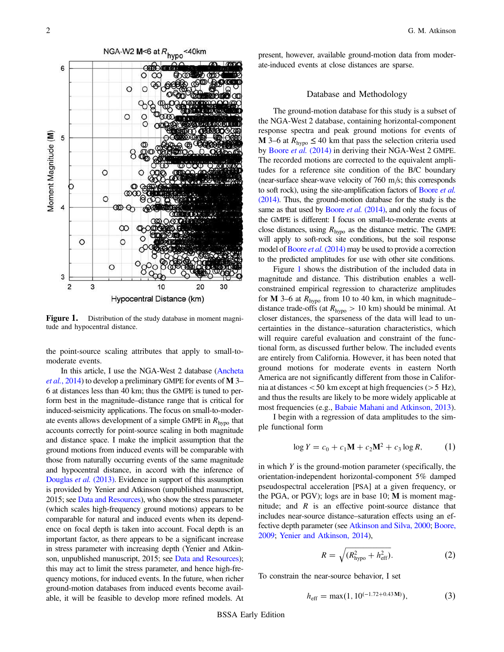<span id="page-1-0"></span>

Figure 1. Distribution of the study database in moment magnitude and hypocentral distance.

the point-source scaling attributes that apply to small-tomoderate events.

In this article, I use the NGA-West 2 database ([Ancheta](#page-10-1) et al.[, 2014\)](#page-10-1) to develop a preliminary GMPE for events of M 3– 6 at distances less than 40 km; thus the GMPE is tuned to perform best in the magnitude–distance range that is critical for induced-seismicity applications. The focus on small-to-moderate events allows development of a simple GMPE in  $R_{\text{hypo}}$  that accounts correctly for point-source scaling in both magnitude and distance space. I make the implicit assumption that the ground motions from induced events will be comparable with those from naturally occurring events of the same magnitude and hypocentral distance, in accord with the inference of [Douglas](#page-11-5) et al. (2013). Evidence in support of this assumption is provided by Yenier and Atkinson (unpublished manuscript, 2015; see [Data and Resources\)](#page-10-2), who show the stress parameter (which scales high-frequency ground motions) appears to be comparable for natural and induced events when its dependence on focal depth is taken into account. Focal depth is an important factor, as there appears to be a significant increase in stress parameter with increasing depth (Yenier and Atkinson, unpublished manuscript, 2015; see [Data and Resources](#page-10-2)); this may act to limit the stress parameter, and hence high-frequency motions, for induced events. In the future, when richer ground-motion databases from induced events become available, it will be feasible to develop more refined models. At present, however, available ground-motion data from moderate-induced events at close distances are sparse.

#### Database and Methodology

The ground-motion database for this study is a subset of the NGA-West 2 database, containing horizontal-component response spectra and peak ground motions for events of **M** 3–6 at  $R_{\text{hypo}} \leq 40$  km that pass the selection criteria used by Boore et al. [\(2014\)](#page-11-6) in deriving their NGA-West 2 GMPE. The recorded motions are corrected to the equivalent amplitudes for a reference site condition of the B/C boundary (near-surface shear-wave velocity of  $760 \text{ m/s}$ ; this corresponds to soft rock), using the site-amplification factors of [Boore](#page-11-6) et al. [\(2014\)](#page-11-6). Thus, the ground-motion database for the study is the same as that used by Boore *et al.* [\(2014\),](#page-11-6) and only the focus of the GMPE is different: I focus on small-to-moderate events at close distances, using  $R_{\text{hypo}}$  as the distance metric. The GMPE will apply to soft-rock site conditions, but the soil response model of Boore *et al.* [\(2014\)](#page-11-6) may be used to provide a correction to the predicted amplitudes for use with other site conditions.

Figure [1](#page-1-0) shows the distribution of the included data in magnitude and distance. This distribution enables a wellconstrained empirical regression to characterize amplitudes for M 3–6 at  $R_{\text{hypo}}$  from 10 to 40 km, in which magnitude– distance trade-offs (at  $R_{\text{hypo}} > 10 \text{ km}$ ) should be minimal. At closer distances, the sparseness of the data will lead to uncertainties in the distance–saturation characteristics, which will require careful evaluation and constraint of the functional form, as discussed further below. The included events are entirely from California. However, it has been noted that ground motions for moderate events in eastern North America are not significantly different from those in California at distances  $<$  50 km except at high frequencies ( $>$  5 Hz), and thus the results are likely to be more widely applicable at most frequencies (e.g., [Babaie Mahani and Atkinson, 2013](#page-11-7)).

<span id="page-1-2"></span>I begin with a regression of data amplitudes to the simple functional form

$$
\log Y = c_0 + c_1 \mathbf{M} + c_2 \mathbf{M}^2 + c_3 \log R, \tag{1}
$$

in which  $Y$  is the ground-motion parameter (specifically, the orientation-independent horizontal-component 5% damped pseudospectral acceleration [PSA] at a given frequency, or the PGA, or PGV); logs are in base 10; M is moment magnitude; and  $R$  is an effective point-source distance that includes near-source distance–saturation effects using an effective depth parameter (see [Atkinson and Silva, 2000;](#page-11-8) [Boore,](#page-11-9) [2009;](#page-11-9) [Yenier and Atkinson, 2014](#page-11-10)),

$$
R = \sqrt{(R_{\text{hypo}}^2 + h_{\text{eff}}^2)}.
$$
 (2)

<span id="page-1-3"></span><span id="page-1-1"></span>To constrain the near-source behavior, I set

$$
h_{\rm eff} = \max(1, 10^{(-1.72 + 0.43 \,\mathrm{M})}),\tag{3}
$$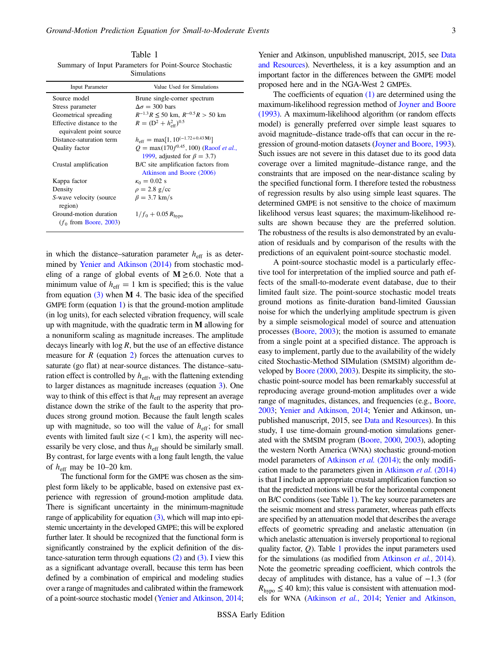<span id="page-2-0"></span>Table 1 Summary of Input Parameters for Point-Source Stochastic Simulations

| williulauviis                                        |                                                                                                        |  |  |  |  |
|------------------------------------------------------|--------------------------------------------------------------------------------------------------------|--|--|--|--|
| <b>Input Parameter</b>                               | Value Used for Simulations                                                                             |  |  |  |  |
| Source model                                         | Brune single-corner spectrum                                                                           |  |  |  |  |
| Stress parameter                                     | $\Delta \sigma = 300$ bars                                                                             |  |  |  |  |
| Geometrical spreading                                | $R^{-1.3}R \le 50$ km, $R^{-0.5}R > 50$ km                                                             |  |  |  |  |
| Effective distance to the<br>equivalent point source | $R = (D^2 + h_{\rm eff}^2)^{0.5}$                                                                      |  |  |  |  |
| Distance-saturation term                             | $h_{\text{eff}} = \max[1, 10^{(-1.72 + 0.43 \text{ M})}]$                                              |  |  |  |  |
| Quality factor                                       | $Q = \max(170f^{0.45}, 100)$ (Raoof <i>et al.</i> ,                                                    |  |  |  |  |
| Crustal amplification                                | 1999, adjusted for $\beta = 3.7$ )<br>B/C site amplification factors from<br>Atkinson and Boore (2006) |  |  |  |  |
| Kappa factor                                         | $\kappa_0 = 0.02$ s                                                                                    |  |  |  |  |
| Density                                              | $\rho = 2.8$ g/cc                                                                                      |  |  |  |  |
| S-wave velocity (source)<br>region)                  | $\beta = 3.7$ km/s                                                                                     |  |  |  |  |
| Ground-motion duration<br>$(f_0$ from Boore, 2003)   | $1/f_0 + 0.05 R_{\text{hypo}}$                                                                         |  |  |  |  |

in which the distance–saturation parameter  $h_{\text{eff}}$  is as determined by [Yenier and Atkinson \(2014\)](#page-11-10) from stochastic modeling of a range of global events of  $M \geq 6.0$ . Note that a minimum value of  $h_{\text{eff}} = 1 \text{ km}$  is specified; this is the value from equation  $(3)$  when M 4. The basic idea of the specified GMPE form (equation [1](#page-1-2)) is that the ground-motion amplitude (in log units), for each selected vibration frequency, will scale up with magnitude, with the quadratic term in M allowing for a nonuniform scaling as magnitude increases. The amplitude decays linearly with  $log R$ , but the use of an effective distance measure for  $R$  (equation [2\)](#page-1-3) forces the attenuation curves to saturate (go flat) at near-source distances. The distance–saturation effect is controlled by  $h_{\text{eff}}$ , with the flattening extending to larger distances as magnitude increases (equation [3\)](#page-1-1). One way to think of this effect is that  $h_{\text{eff}}$  may represent an average distance down the strike of the fault to the asperity that produces strong ground motion. Because the fault length scales up with magnitude, so too will the value of  $h_{\text{eff}}$ ; for small events with limited fault size  $(< 1 \text{ km})$ , the asperity will necessarily be very close, and thus  $h_{\text{eff}}$  should be similarly small. By contrast, for large events with a long fault length, the value of  $h_{\text{eff}}$  may be 10–20 km.

The functional form for the GMPE was chosen as the simplest form likely to be applicable, based on extensive past experience with regression of ground-motion amplitude data. There is significant uncertainty in the minimum-magnitude range of applicability for equation  $(3)$ , which will map into epistemic uncertainty in the developed GMPE; this will be explored further later. It should be recognized that the functional form is significantly constrained by the explicit definition of the distance-saturation term through equations  $(2)$  and  $(3)$ . I view this as a significant advantage overall, because this term has been defined by a combination of empirical and modeling studies over a range of magnitudes and calibrated within the framework of a point-source stochastic model [\(Yenier and Atkinson, 2014](#page-11-10);

Yenier and Atkinson, unpublished manuscript, 2015, see [Data](#page-10-2) [and Resources\)](#page-10-2). Nevertheless, it is a key assumption and an important factor in the differences between the GMPE model proposed here and in the NGA-West 2 GMPEs.

The coefficients of equation  $(1)$  are determined using the maximum-likelihood regression method of [Joyner and Boore](#page-11-11) [\(1993\).](#page-11-11) A maximum-likelihood algorithm (or random effects model) is generally preferred over simple least squares to avoid magnitude–distance trade-offs that can occur in the regression of ground-motion datasets ([Joyner and Boore, 1993](#page-11-11)). Such issues are not severe in this dataset due to its good data coverage over a limited magnitude–distance range, and the constraints that are imposed on the near-distance scaling by the specified functional form. I therefore tested the robustness of regression results by also using simple least squares. The determined GMPE is not sensitive to the choice of maximum likelihood versus least squares; the maximum-likelihood results are shown because they are the preferred solution. The robustness of the results is also demonstrated by an evaluation of residuals and by comparison of the results with the predictions of an equivalent point-source stochastic model.

A point-source stochastic model is a particularly effective tool for interpretation of the implied source and path effects of the small-to-moderate event database, due to their limited fault size. The point-source stochastic model treats ground motions as finite-duration band-limited Gaussian noise for which the underlying amplitude spectrum is given by a simple seismological model of source and attenuation processes [\(Boore, 2003](#page-11-12)); the motion is assumed to emanate from a single point at a specified distance. The approach is easy to implement, partly due to the availability of the widely cited Stochastic-Method SIMulation (SMSIM) algorithm developed by [Boore \(2000,](#page-11-13) [2003](#page-11-12)). Despite its simplicity, the stochastic point-source model has been remarkably successful at reproducing average ground-motion amplitudes over a wide range of magnitudes, distances, and frequencies (e.g., [Boore,](#page-11-12) [2003;](#page-11-12) [Yenier and Atkinson, 2014](#page-11-10); Yenier and Atkinson, unpublished manuscript, 2015, see [Data and Resources\)](#page-10-2). In this study, I use time-domain ground-motion simulations generated with the SMSIM program ([Boore, 2000,](#page-11-13) [2003](#page-11-12)), adopting the western North America (WNA) stochastic ground-motion model parameters of [Atkinson](#page-11-14) et al. (2014); the only modifi-cation made to the parameters given in [Atkinson](#page-11-14) et al. (2014) is that I include an appropriate crustal amplification function so that the predicted motions will be for the horizontal component on B/C conditions (see Table [1\)](#page-2-0). The key source parameters are the seismic moment and stress parameter, whereas path effects are specified by an attenuation model that describes the average effects of geometric spreading and anelastic attenuation (in which anelastic attenuation is inversely proportional to regional quality factor,  $Q$ ). Table [1](#page-2-0) provides the input parameters used for the simulations (as modified from [Atkinson](#page-11-14) *et al.*, 2014). Note the geometric spreading coefficient, which controls the decay of amplitudes with distance, has a value of −1:3 (for  $R_{\text{hypo}} \leq 40 \text{ km}$ ; this value is consistent with attenuation models for WNA [\(Atkinson](#page-11-14) et al., 2014; [Yenier and Atkinson,](#page-11-10)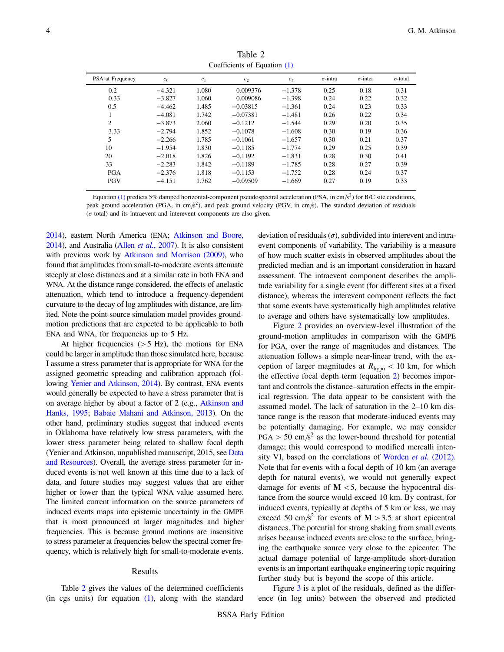<span id="page-3-0"></span>

| PSA at Frequency | $c_0$    | c <sub>1</sub> | c <sub>2</sub> | c <sub>3</sub> | $\sigma$ -intra | $\sigma$ -inter | $\sigma$ -total |
|------------------|----------|----------------|----------------|----------------|-----------------|-----------------|-----------------|
| 0.2              | $-4.321$ | 1.080          | 0.009376       | $-1.378$       | 0.25            | 0.18            | 0.31            |
| 0.33             | $-3.827$ | 1.060          | 0.009086       | $-1.398$       | 0.24            | 0.22            | 0.32            |
| 0.5              | $-4.462$ | 1.485          | $-0.03815$     | $-1.361$       | 0.24            | 0.23            | 0.33            |
|                  | $-4.081$ | 1.742          | $-0.07381$     | $-1.481$       | 0.26            | 0.22            | 0.34            |
| $\overline{2}$   | $-3.873$ | 2.060          | $-0.1212$      | $-1.544$       | 0.29            | 0.20            | 0.35            |
| 3.33             | $-2.794$ | 1.852          | $-0.1078$      | $-1.608$       | 0.30            | 0.19            | 0.36            |
| 5                | $-2.266$ | 1.785          | $-0.1061$      | $-1.657$       | 0.30            | 0.21            | 0.37            |
| 10               | $-1.954$ | 1.830          | $-0.1185$      | $-1.774$       | 0.29            | 0.25            | 0.39            |
| 20               | $-2.018$ | 1.826          | $-0.1192$      | $-1.831$       | 0.28            | 0.30            | 0.41            |
| 33               | $-2.283$ | 1.842          | $-0.1189$      | $-1.785$       | 0.28            | 0.27            | 0.39            |
| <b>PGA</b>       | $-2.376$ | 1.818          | $-0.1153$      | $-1.752$       | 0.28            | 0.24            | 0.37            |
| <b>PGV</b>       | $-4.151$ | 1.762          | $-0.09509$     | $-1.669$       | 0.27            | 0.19            | 0.33            |
|                  |          |                |                |                |                 |                 |                 |

Table 2 Coefficients of Equation [\(1\)](#page-1-2)

Equation [\(1\)](#page-1-2) predicts 5% damped horizontal-component pseudospectral acceleration (PSA, in cm/s<sup>2</sup>) for B/C site conditions, peak ground acceleration (PGA, in cm/s<sup>2</sup>), and peak ground velocity (PGV, in cm/s). The standard deviation of residuals  $(\sigma$ -total) and its intraevent and interevent components are also given.

[2014](#page-11-10)), eastern North America (ENA; [Atkinson and Boore,](#page-11-16) [2014](#page-11-16)), and Australia (Allen et al.[, 2007\)](#page-10-4). It is also consistent with previous work by [Atkinson and Morrison \(2009\),](#page-11-17) who found that amplitudes from small-to-moderate events attenuate steeply at close distances and at a similar rate in both ENA and WNA. At the distance range considered, the effects of anelastic attenuation, which tend to introduce a frequency-dependent curvature to the decay of log amplitudes with distance, are limited. Note the point-source simulation model provides groundmotion predictions that are expected to be applicable to both ENA and WNA, for frequencies up to 5 Hz.

At higher frequencies  $(>5$  Hz), the motions for ENA could be larger in amplitude than those simulated here, because I assume a stress parameter that is appropriate for WNA for the assigned geometric spreading and calibration approach (following [Yenier and Atkinson, 2014\)](#page-11-10). By contrast, ENA events would generally be expected to have a stress parameter that is on average higher by about a factor of 2 (e.g., [Atkinson and](#page-11-18) [Hanks, 1995;](#page-11-18) [Babaie Mahani and Atkinson, 2013](#page-11-7)). On the other hand, preliminary studies suggest that induced events in Oklahoma have relatively low stress parameters, with the lower stress parameter being related to shallow focal depth (Yenier and Atkinson, unpublished manuscript, 2015, see [Data](#page-10-2) [and Resources\)](#page-10-2). Overall, the average stress parameter for induced events is not well known at this time due to a lack of data, and future studies may suggest values that are either higher or lower than the typical WNA value assumed here. The limited current information on the source parameters of induced events maps into epistemic uncertainty in the GMPE that is most pronounced at larger magnitudes and higher frequencies. This is because ground motions are insensitive to stress parameter at frequencies below the spectral corner frequency, which is relatively high for small-to-moderate events.

## Results

Table [2](#page-3-0) gives the values of the determined coefficients (in cgs units) for equation  $(1)$ , along with the standard deviation of residuals  $(\sigma)$ , subdivided into interevent and intraevent components of variability. The variability is a measure of how much scatter exists in observed amplitudes about the predicted median and is an important consideration in hazard assessment. The intraevent component describes the amplitude variability for a single event (for different sites at a fixed distance), whereas the interevent component reflects the fact that some events have systematically high amplitudes relative to average and others have systematically low amplitudes.

Figure [2](#page-4-0) provides an overview-level illustration of the ground-motion amplitudes in comparison with the GMPE for PGA, over the range of magnitudes and distances. The attenuation follows a simple near-linear trend, with the exception of larger magnitudes at  $R_{\text{hypo}} < 10$  km, for which the effective focal depth term (equation [2\)](#page-1-3) becomes important and controls the distance–saturation effects in the empirical regression. The data appear to be consistent with the assumed model. The lack of saturation in the 2–10 km distance range is the reason that moderate-induced events may be potentially damaging. For example, we may consider  $PGA > 50$  cm/s<sup>2</sup> as the lower-bound threshold for potential damage; this would correspond to modified mercalli inten-sity VI, based on the correlations of [Worden](#page-11-19) et al. (2012). Note that for events with a focal depth of 10 km (an average depth for natural events), we would not generally expect damage for events of  $M < 5$ , because the hypocentral distance from the source would exceed 10 km. By contrast, for induced events, typically at depths of 5 km or less, we may exceed 50 cm/s<sup>2</sup> for events of **M** > 3.5 at short epicentral distances. The potential for strong shaking from small events arises because induced events are close to the surface, bringing the earthquake source very close to the epicenter. The actual damage potential of large-amplitude short-duration events is an important earthquake engineering topic requiring further study but is beyond the scope of this article.

Figure [3](#page-4-1) is a plot of the residuals, defined as the difference (in log units) between the observed and predicted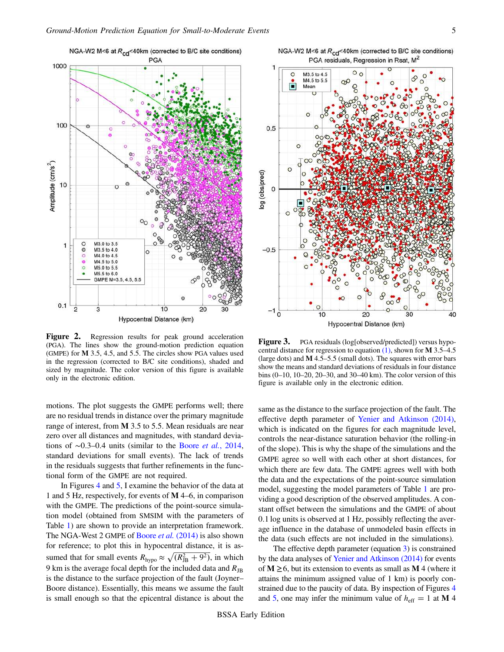<span id="page-4-0"></span>

Figure 2. Regression results for peak ground acceleration (PGA). The lines show the ground-motion prediction equation (GMPE) for M 3.5, 4.5, and 5.5. The circles show PGA values used in the regression (corrected to B/C site conditions), shaded and sized by magnitude. The color version of this figure is available only in the electronic edition.

motions. The plot suggests the GMPE performs well; there are no residual trends in distance over the primary magnitude range of interest, from M 3.5 to 5.5. Mean residuals are near zero over all distances and magnitudes, with standard deviations of ∼0:3–0:4 units (similar to the Boore et al.[, 2014](#page-11-6), standard deviations for small events). The lack of trends in the residuals suggests that further refinements in the functional form of the GMPE are not required.

In Figures [4](#page-5-0) and [5](#page-6-0), I examine the behavior of the data at 1 and 5 Hz, respectively, for events of M 4–6, in comparison with the GMPE. The predictions of the point-source simulation model (obtained from SMSIM with the parameters of Table [1](#page-2-0)) are shown to provide an interpretation framework. The NGA-West 2 GMPE of Boore *et al.* [\(2014\)](#page-11-6) is also shown for reference; to plot this in hypocentral distance, it is assumed that for small events  $R_{\text{hypo}} \approx \sqrt{(R_{\text{JB}}^2 + 9^2)}$ , in which 9 km is the average focal depth for the included data and  $R_{\text{JB}}$ is the distance to the surface projection of the fault (Joyner– Boore distance). Essentially, this means we assume the fault is small enough so that the epicentral distance is about the

<span id="page-4-1"></span>

NGA-W2 M<6 at  $R_{cd}$ <40km (corrected to B/C site conditions)

Figure 3. PGA residuals (log[observed/predicted]) versus hypocentral distance for regression to equation  $(1)$ , shown for **M** 3.5–4.5 (large dots) and  $M$  4.5–5.5 (small dots). The squares with error bars show the means and standard deviations of residuals in four distance bins (0–10, 10–20, 20–30, and 30–40 km). The color version of this figure is available only in the electronic edition.

same as the distance to the surface projection of the fault. The effective depth parameter of [Yenier and Atkinson \(2014\),](#page-11-10) which is indicated on the figures for each magnitude level, controls the near-distance saturation behavior (the rolling-in of the slope). This is why the shape of the simulations and the GMPE agree so well with each other at short distances, for which there are few data. The GMPE agrees well with both the data and the expectations of the point-source simulation model, suggesting the model parameters of Table [1](#page-2-0) are providing a good description of the observed amplitudes. A constant offset between the simulations and the GMPE of about 0:1 log units is observed at 1 Hz, possibly reflecting the average influence in the database of unmodeled basin effects in the data (such effects are not included in the simulations).

The effective depth parameter (equation  $\overline{3}$ ) is constrained by the data analyses of [Yenier and Atkinson \(2014\)](#page-11-10) for events of  $M \geq 6$ , but its extension to events as small as M 4 (where it attains the minimum assigned value of 1 km) is poorly con-strained due to the paucity of data. By inspection of Figures [4](#page-5-0) and [5](#page-6-0), one may infer the minimum value of  $h_{\text{eff}} = 1$  at M 4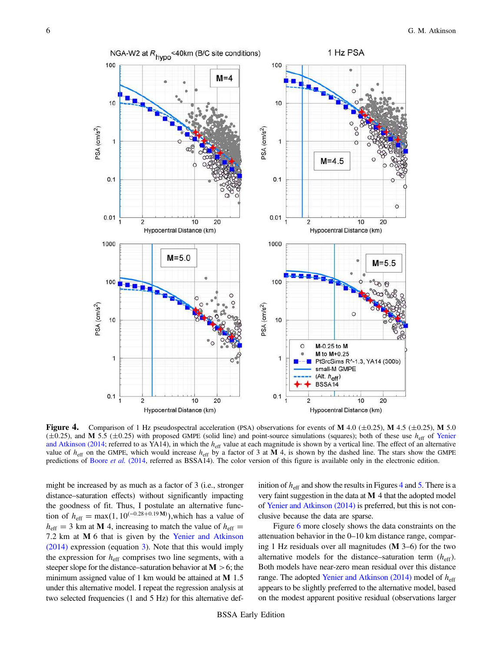<span id="page-5-0"></span>

**Figure 4.** Comparison of 1 Hz pseudospectral acceleration (PSA) observations for events of M 4.0 ( $\pm$ 0.25), M 4.5 ( $\pm$ 0.25), M 5.0 ( $\pm$ 0.25), and M 5.5 ( $\pm$ 0.25) with proposed GMPE (solid line) and point-source simulations (squares); both of these use  $h_{\text{eff}}$  of [Yenier](#page-11-10) [and Atkinson \(2014](#page-11-10); referred to as YA14), in which the  $h_{\text{eff}}$  value at each magnitude is shown by a vertical line. The effect of an alternative value of  $h_{\text{eff}}$  on the GMPE, which would increase  $h_{\text{eff}}$  by a factor of 3 at M 4, is shown by the dashed line. The stars show the GMPE predictions of [Boore](#page-11-6) et al. (2014, referred as BSSA14). The color version of this figure is available only in the electronic edition.

might be increased by as much as a factor of 3 (i.e., stronger distance–saturation effects) without significantly impacting the goodness of fit. Thus, I postulate an alternative function of  $h_{\text{eff}} = \max(1, 10^{(-0.28 + 0.19 \text{ M})})$ , which has a value of  $h_{\text{eff}} = 3$  km at M 4, increasing to match the value of  $h_{\text{eff}} =$ 7:2 km at M 6 that is given by the [Yenier and Atkinson](#page-11-10) [\(2014\)](#page-11-10) expression (equation [3](#page-1-1)). Note that this would imply the expression for  $h<sub>eff</sub>$  comprises two line segments, with a steeper slope for the distance–saturation behavior at  $M > 6$ ; the minimum assigned value of 1 km would be attained at **M** 1.5 under this alternative model. I repeat the regression analysis at two selected frequencies (1 and 5 Hz) for this alternative definition of  $h_{\text{eff}}$  and show the results in Figures [4](#page-5-0) and [5.](#page-6-0) There is a very faint suggestion in the data at  $M$  4 that the adopted model of [Yenier and Atkinson \(2014\)](#page-11-10) is preferred, but this is not conclusive because the data are sparse.

Figure [6](#page-7-0) more closely shows the data constraints on the attenuation behavior in the 0–10 km distance range, comparing 1 Hz residuals over all magnitudes (M 3–6) for the two alternative models for the distance–saturation term  $(h_{\text{eff}})$ . Both models have near-zero mean residual over this distance range. The adopted [Yenier and Atkinson \(2014\)](#page-11-10) model of  $h<sub>eff</sub>$ appears to be slightly preferred to the alternative model, based on the modest apparent positive residual (observations larger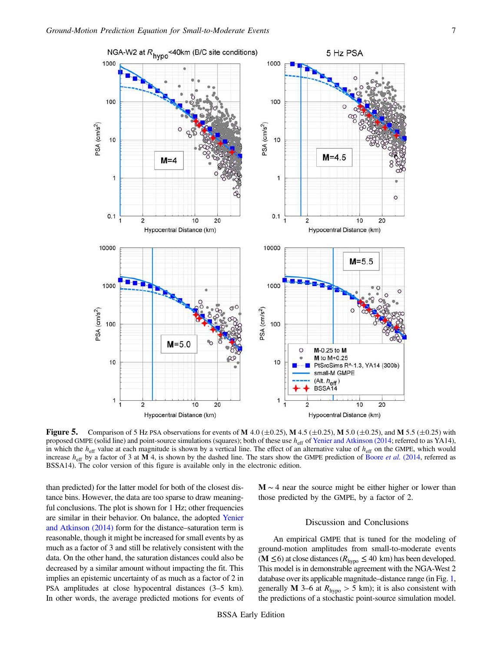<span id="page-6-0"></span>

**Figure 5.** Comparison of 5 Hz PSA observations for events of M 4.0 ( $\pm$ 0.25), M 4.5 ( $\pm$ 0.25), M 5.0 ( $\pm$ 0.25), and M 5.5 ( $\pm$ 0.25) with proposed GMPE (solid line) and point-source simulations (squares); both of these use  $h_{\text{eff}}$  of [Yenier and Atkinson \(2014;](#page-11-10) referred to as YA14), in which the  $h_{\text{eff}}$  value at each magnitude is shown by a vertical line. The effect of an alternative value of  $h_{\text{eff}}$  on the GMPE, which would increase  $h_{\text{eff}}$  by a factor of 3 at M 4, is shown by the dashed line. The stars show the GMPE prediction of [Boore](#page-11-6) *et al.* (2014, referred as BSSA14). The color version of this figure is available only in the electronic edition.

than predicted) for the latter model for both of the closest distance bins. However, the data are too sparse to draw meaningful conclusions. The plot is shown for 1 Hz; other frequencies are similar in their behavior. On balance, the adopted [Yenier](#page-11-10) [and Atkinson \(2014\)](#page-11-10) form for the distance–saturation term is reasonable, though it might be increased for small events by as much as a factor of 3 and still be relatively consistent with the data. On the other hand, the saturation distances could also be decreased by a similar amount without impacting the fit. This implies an epistemic uncertainty of as much as a factor of 2 in PSA amplitudes at close hypocentral distances (3–5 km). In other words, the average predicted motions for events of M ∼ 4 near the source might be either higher or lower than those predicted by the GMPE, by a factor of 2.

## Discussion and Conclusions

An empirical GMPE that is tuned for the modeling of ground-motion amplitudes from small-to-moderate events (M  $\leq$  6) at close distances ( $R_{\text{hypo}} \leq 40 \text{ km}$ ) has been developed. This model is in demonstrable agreement with the NGA-West 2 database over its applicable magnitude–distance range (in Fig. [1,](#page-1-0) generally M 3–6 at  $R_{\text{hypo}} > 5$  km); it is also consistent with the predictions of a stochastic point-source simulation model.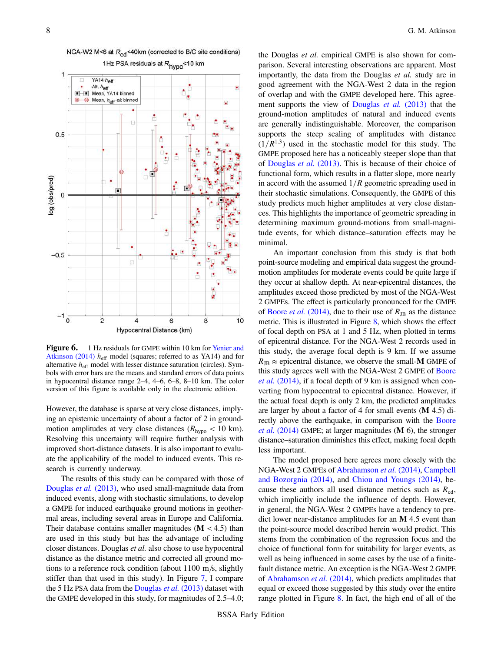<span id="page-7-0"></span>

NGA-W2 M<6 at R<sub>cd</sub><40km (corrected to B/C site conditions)

Figure 6. 1 Hz residuals for GMPE within 10 km for [Yenier and](#page-11-10) [Atkinson \(2014\)](#page-11-10)  $h_{\text{eff}}$  model (squares; referred to as YA14) and for alternative  $h_{\text{eff}}$  model with lesser distance saturation (circles). Symbols with error bars are the means and standard errors of data points in hypocentral distance range 2–4, 4–6, 6–8, 8–10 km. The color version of this figure is available only in the electronic edition.

However, the database is sparse at very close distances, implying an epistemic uncertainty of about a factor of 2 in groundmotion amplitudes at very close distances ( $R_{\text{hypo}}$  < 10 km). Resolving this uncertainty will require further analysis with improved short-distance datasets. It is also important to evaluate the applicability of the model to induced events. This research is currently underway.

The results of this study can be compared with those of [Douglas](#page-11-5) et al. (2013), who used small-magnitude data from induced events, along with stochastic simulations, to develop a GMPE for induced earthquake ground motions in geothermal areas, including several areas in Europe and California. Their database contains smaller magnitudes  $(M < 4.5)$  than are used in this study but has the advantage of including closer distances. Douglas et al. also chose to use hypocentral distance as the distance metric and corrected all ground motions to a reference rock condition (about  $1100 \text{ m/s}$ , slightly stiffer than that used in this study). In Figure [7](#page-8-0), I compare the 5 Hz PSA data from the [Douglas](#page-11-5) *et al.*  $(2013)$  dataset with the GMPE developed in this study, for magnitudes of 2.5–4.0;

the Douglas et al. empirical GMPE is also shown for comparison. Several interesting observations are apparent. Most importantly, the data from the Douglas et al. study are in good agreement with the NGA-West 2 data in the region of overlap and with the GMPE developed here. This agree-ment supports the view of [Douglas](#page-11-5) et al. (2013) that the ground-motion amplitudes of natural and induced events are generally indistinguishable. Moreover, the comparison supports the steep scaling of amplitudes with distance  $(1/R^{1.3})$  used in the stochastic model for this study. The GMPE proposed here has a noticeably steeper slope than that of [Douglas](#page-11-5) et al. (2013). This is because of their choice of functional form, which results in a flatter slope, more nearly in accord with the assumed  $1/R$  geometric spreading used in their stochastic simulations. Consequently, the GMPE of this study predicts much higher amplitudes at very close distances. This highlights the importance of geometric spreading in determining maximum ground-motions from small-magnitude events, for which distance–saturation effects may be minimal.

An important conclusion from this study is that both point-source modeling and empirical data suggest the groundmotion amplitudes for moderate events could be quite large if they occur at shallow depth. At near-epicentral distances, the amplitudes exceed those predicted by most of the NGA-West 2 GMPEs. The effect is particularly pronounced for the GMPE of Boore et al. [\(2014\),](#page-11-6) due to their use of  $R_{\text{JB}}$  as the distance metric. This is illustrated in Figure [8](#page-9-0), which shows the effect of focal depth on PSA at 1 and 5 Hz, when plotted in terms of epicentral distance. For the NGA-West 2 records used in this study, the average focal depth is 9 km. If we assume  $R_{\text{JB}} \approx$  epicentral distance, we observe the small-M GMPE of this study agrees well with the NGA-West 2 GMPE of [Boore](#page-11-6) et al. [\(2014\)](#page-11-6), if a focal depth of 9 km is assigned when converting from hypocentral to epicentral distance. However, if the actual focal depth is only 2 km, the predicted amplitudes are larger by about a factor of 4 for small events (M 4.5) di-rectly above the earthquake, in comparison with the [Boore](#page-11-6) et al.  $(2014)$  GMPE; at larger magnitudes  $(M 6)$ , the stronger distance–saturation diminishes this effect, making focal depth less important.

The model proposed here agrees more closely with the NGA-West 2 GMPEs of [Abrahamson](#page-10-5) et al. (2014), [Campbell](#page-11-20) [and Bozorgnia \(2014\),](#page-11-20) and [Chiou and Youngs \(2014\)](#page-11-21), because these authors all used distance metrics such as  $R_{cd}$ , which implicitly include the influence of depth. However, in general, the NGA-West 2 GMPEs have a tendency to predict lower near-distance amplitudes for an M 4.5 event than the point-source model described herein would predict. This stems from the combination of the regression focus and the choice of functional form for suitability for larger events, as well as being influenced in some cases by the use of a finitefault distance metric. An exception is the NGA-West 2 GMPE of [Abrahamson](#page-10-5) et al. (2014), which predicts amplitudes that equal or exceed those suggested by this study over the entire range plotted in Figure [8.](#page-9-0) In fact, the high end of all of the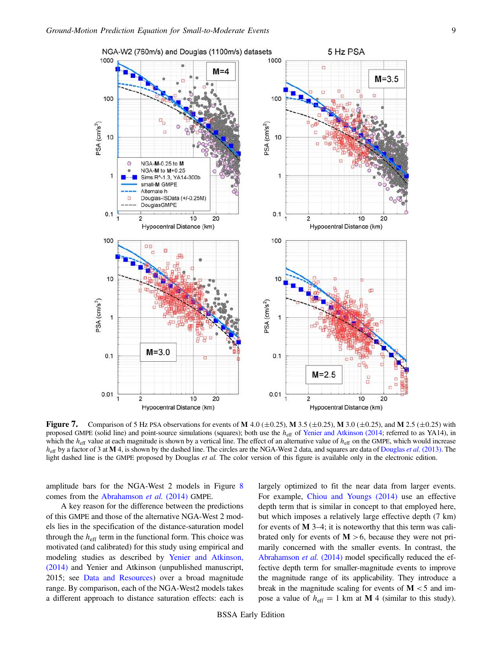<span id="page-8-0"></span>

**Figure 7.** Comparison of 5 Hz PSA observations for events of M 4.0 ( $\pm$ 0.25), M 3.5 ( $\pm$ 0.25), M 3.0 ( $\pm$ 0.25), and M 2.5 ( $\pm$ 0.25) with proposed GMPE (solid line) and point-source simulations (squares); both use the  $h_{\text{eff}}$  of [Yenier and Atkinson \(2014](#page-11-10); referred to as YA14), in which the  $h_{\text{eff}}$  value at each magnitude is shown by a vertical line. The effect of an alternative value of  $h_{\text{eff}}$  on the GMPE, which would increase  $h_{\text{eff}}$  by a factor of 3 at M 4, is shown by the dashed line. The circles are the NGA-West 2 data, and squares are data of [Douglas](#page-11-5) *et al.* (2013). The light dashed line is the GMPE proposed by Douglas et al. The color version of this figure is available only in the electronic edition.

amplitude bars for the NGA-West 2 models in Figure [8](#page-9-0) comes from the [Abrahamson](#page-10-5) et al. (2014) GMPE.

A key reason for the difference between the predictions of this GMPE and those of the alternative NGA-West 2 models lies in the specification of the distance-saturation model through the  $h_{\text{eff}}$  term in the functional form. This choice was motivated (and calibrated) for this study using empirical and modeling studies as described by [Yenier and Atkinson,](#page-11-10) [\(2014\)](#page-11-10) and Yenier and Atkinson (unpublished manuscript, 2015; see [Data and Resources\)](#page-10-2) over a broad magnitude range. By comparison, each of the NGA-West2 models takes a different approach to distance saturation effects: each is largely optimized to fit the near data from larger events. For example, [Chiou and Youngs \(2014\)](#page-11-21) use an effective depth term that is similar in concept to that employed here, but which imposes a relatively large effective depth (7 km) for events of  $M$  3–4; it is noteworthy that this term was calibrated only for events of  $M > 6$ , because they were not primarily concerned with the smaller events. In contrast, the [Abrahamson](#page-10-5) et al. (2014) model specifically reduced the effective depth term for smaller-magnitude events to improve the magnitude range of its applicability. They introduce a break in the magnitude scaling for events of  $M < 5$  and impose a value of  $h_{\text{eff}} = 1 \text{ km at } M 4$  (similar to this study).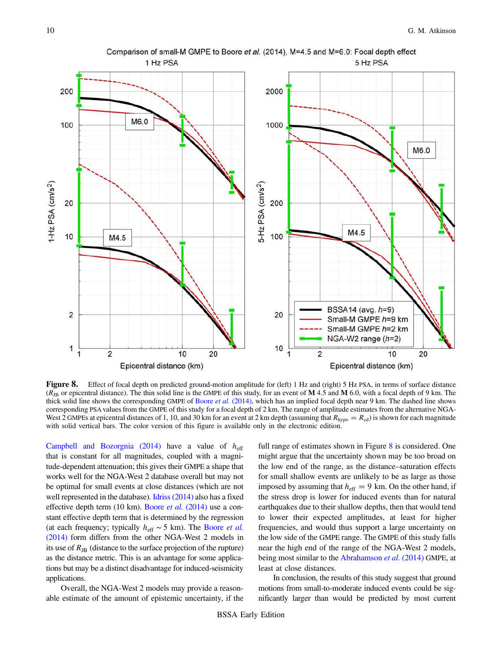<span id="page-9-0"></span>

Figure 8. Effect of focal depth on predicted ground-motion amplitude for (left) 1 Hz and (right) 5 Hz PSA, in terms of surface distance  $(R_{\text{JB}}$  or epicentral distance). The thin solid line is the GMPE of this study, for an event of M 4.5 and M 6.0, with a focal depth of 9 km. The thick solid line shows the corresponding GMPE of Boore *et al.* [\(2014\),](#page-11-6) which has an implied focal depth near 9 km. The dashed line shows corresponding PSA values from the GMPE of this study for a focal depth of 2 km. The range of amplitude estimates from the alternative NGA-West 2 GMPEs at epicentral distances of 1, 10, and 30 km for an event at 2 km depth (assuming that  $R_{\text{hypo}} = R_{\text{cd}}$ ) is shown for each magnitude with solid vertical bars. The color version of this figure is available only in the electronic edition.

[Campbell and Bozorgnia \(2014\)](#page-11-20) have a value of  $h<sub>eff</sub>$ that is constant for all magnitudes, coupled with a magnitude-dependent attenuation; this gives their GMPE a shape that works well for the NGA-West 2 database overall but may not be optimal for small events at close distances (which are not well represented in the database). [Idriss \(2014\)](#page-11-22) also has a fixed effective depth term (10 km). Boore et al. [\(2014\)](#page-11-6) use a constant effective depth term that is determined by the regression (at each frequency; typically  $h_{\text{eff}} \sim 5$  km). The [Boore](#page-11-6) *et al.* [\(2014\)](#page-11-6) form differs from the other NGA-West 2 models in its use of  $R_{\text{JB}}$  (distance to the surface projection of the rupture) as the distance metric. This is an advantage for some applications but may be a distinct disadvantage for induced-seismicity applications.

Overall, the NGA-West 2 models may provide a reasonable estimate of the amount of epistemic uncertainty, if the full range of estimates shown in Figure [8](#page-9-0) is considered. One might argue that the uncertainty shown may be too broad on the low end of the range, as the distance–saturation effects for small shallow events are unlikely to be as large as those imposed by assuming that  $h_{\text{eff}} = 9$  km. On the other hand, if the stress drop is lower for induced events than for natural earthquakes due to their shallow depths, then that would tend to lower their expected amplitudes, at least for higher frequencies, and would thus support a large uncertainty on the low side of the GMPE range. The GMPE of this study falls near the high end of the range of the NGA-West 2 models, being most similar to the [Abrahamson](#page-10-5) et al. (2014) GMPE, at least at close distances.

In conclusion, the results of this study suggest that ground motions from small-to-moderate induced events could be significantly larger than would be predicted by most current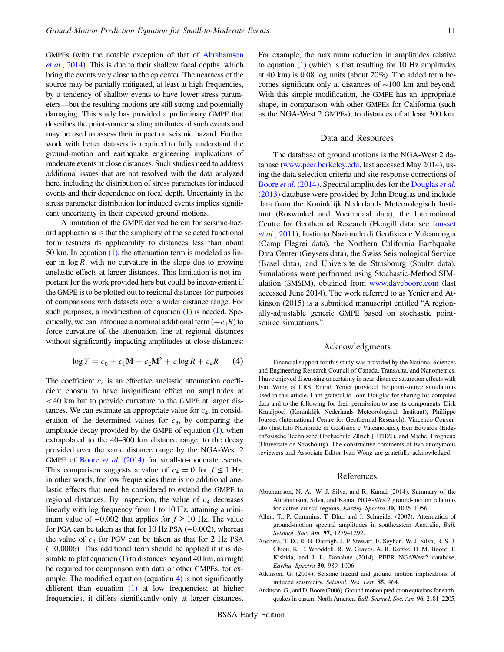GMPEs (with the notable exception of that of [Abrahamson](#page-10-5) et al.[, 2014\)](#page-10-5). This is due to their shallow focal depths, which bring the events very close to the epicenter. The nearness of the source may be partially mitigated, at least at high frequencies, by a tendency of shallow events to have lower stress parameters—but the resulting motions are still strong and potentially damaging. This study has provided a preliminary GMPE that describes the point-source scaling attributes of such events and may be used to assess their impact on seismic hazard. Further work with better datasets is required to fully understand the ground-motion and earthquake engineering implications of moderate events at close distances. Such studies need to address additional issues that are not resolved with the data analyzed here, including the distribution of stress parameters for induced events and their dependence on focal depth. Uncertainty in the stress parameter distribution for induced events implies significant uncertainty in their expected ground motions.

A limitation of the GMPE derived herein for seismic-hazard applications is that the simplicity of the selected functional form restricts its applicability to distances less than about 50 km. In equation  $(1)$ , the attenuation term is modeled as linear in  $\log R$ , with no curvature in the slope due to growing anelastic effects at larger distances. This limitation is not important for the work provided here but could be inconvenient if the GMPE is to be plotted out to regional distances for purposes of comparisons with datasets over a wider distance range. For such purposes, a modification of equation [\(1\)](#page-1-2) is needed. Specifically, we can introduce a nominal additional term  $(+c_4R)$  to force curvature of the attenuation line at regional distances without significantly impacting amplitudes at close distances:

<span id="page-10-6"></span>
$$
\log Y = c_0 + c_1 \mathbf{M} + c_2 \mathbf{M}^2 + c \log R + c_4 R \tag{4}
$$

The coefficient  $c_4$  is an effective anelastic attenuation coefficient chosen to have insignificant effect on amplitudes at <40 km but to provide curvature to the GMPE at larger distances. We can estimate an appropriate value for  $c_4$ , in consideration of the determined values for  $c_3$ , by comparing the amplitude decay provided by the GMPE of equation  $(1)$ , when extrapolated to the 40–300 km distance range, to the decay provided over the same distance range by the NGA-West 2 GMPE of Boore *et al.* [\(2014\)](#page-11-6) for small-to-moderate events. This comparison suggests a value of  $c_4 = 0$  for  $f \le 1$  Hz; in other words, for low frequencies there is no additional anelastic effects that need be considered to extend the GMPE to regional distances. By inspection, the value of  $c_4$  decreases linearly with log frequency from 1 to 10 Hz, attaining a minimum value of  $-0.002$  that applies for  $f \ge 10$  Hz. The value for PGA can be taken as that for 10 Hz PSA (−0:002), whereas the value of  $c_4$  for PGV can be taken as that for 2 Hz PSA (−0:0006). This additional term should be applied if it is desirable to plot equation  $(1)$  to distances beyond 40 km, as might be required for comparison with data or other GMPEs, for example. The modified equation (equation  $4$ ) is not significantly different than equation [\(1\)](#page-1-2) at low frequencies; at higher frequencies, it differs significantly only at larger distances.

For example, the maximum reduction in amplitudes relative to equation [\(1\)](#page-1-2) (which is that resulting for 10 Hz amplitudes at 40 km) is 0.08 log units (about 20%). The added term becomes significant only at distances of ∼100 km and beyond. With this simple modification, the GMPE has an appropriate shape, in comparison with other GMPEs for California (such as the NGA-West 2 GMPEs), to distances of at least 300 km.

### Data and Resources

<span id="page-10-2"></span>The database of ground motions is the NGA-West 2 database [\(www.peer.berkeley.edu,](www.peer.berkeley.edu) last accessed May 2014), using the data selection criteria and site response corrections of Boore *et al.* [\(2014\).](#page-11-6) Spectral amplitudes for the [Douglas](#page-11-5) *et al.* [\(2013\)](#page-11-5) database were provided by John Douglas and include data from the Koninklijk Nederlands Meteorologisch Instituut (Roswinkel and Voerendaal data), the International Centre for Geothermal Research (Hengill data; see [Jousset](#page-11-23) et al.[, 2011](#page-11-23)), Instituto Nazionale di Geofisica e Vulcanoogia (Camp Flegrei data), the Northern California Earthquake Data Center (Geysers data), the Swiss Seismological Service (Basel data), and Universite de Strasbourg (Soultz data). Simulations were performed using Stochastic-Method SIMulation (SMSIM), obtained from <www.daveboore.com> (last accessed June 2014). The work referred to as Yenier and Atkinson (2015) is a submitted manuscript entitled "A regionally-adjustable generic GMPE based on stochastic pointsource simuations."

#### Acknowledgments

Financial support for this study was provided by the National Sciences and Engineering Research Council of Canada, TransAlta, and Nanometrics. I have enjoyed discussing uncertainty in near-distance saturation effects with Ivan Wong of URS. Emrah Yenier provided the point-source simulations used in this article. I am grateful to John Douglas for sharing his compiled data and to the following for their permission to use its components: Dirk Kraaijpoel (Koninklijk Nederlands Meteorologisch Instituut), Phillippe Jousset (International Centre for Geothermal Research), Vincenzo Convertito (Instituto Nazionale di Geofisica e Vulcanoogia), Ben Edwards (Eidgenössische Technische Hochschule Zürich [ETHZ]), and Michel Frogneux (Universite de Strasbourg). The constructive comments of two anonymous reviewers and Associate Editor Ivan Wong are gratefully acknowledged.

## References

- <span id="page-10-5"></span><span id="page-10-4"></span>Abrahamson, N. A., W. J. Silva, and R. Kamai (2014). Summary of the Abrahamson, Silva, and Kamai NGA-West2 ground-motion relations for active crustal regions, Earthq. Spectra 30, 1025–1056.
- <span id="page-10-1"></span>Allen, T., P. Cummins, T. Dhu, and J. Schneider (2007). Attenuation of ground-motion spectral amplitudes in southeastern Australia, Bull. Seismol. Soc. Am. 97, 1279–1292.
- <span id="page-10-0"></span>Ancheta, T. D., R. B. Darragh, J. P. Stewart, E. Seyhan, W. J. Silva, B. S. J. Chiou, K. E. Wooddell, R. W. Graves, A. R. Kottke, D. M. Boore, T. Kishida, and J. L. Donahue (2014). PEER NGAWest2 database, Earthq. Spectra 30, 989–1006.
- <span id="page-10-3"></span>Atkinson, G. (2014). Seismic hazard and ground motion implications of induced seismicity, Seismol. Res. Lett. 85, 464.
- Atkinson, G., and D. Boore (2006). Ground motion prediction equations for earthquakes in eastern North America, Bull. Seismol. Soc. Am. 96, 2181–2205.